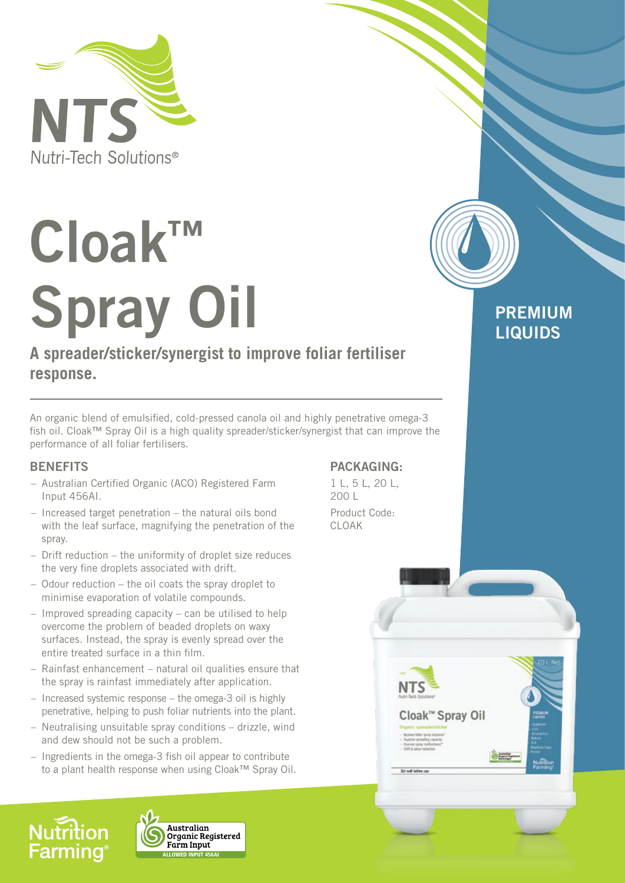

# **Cloak™ Spray Oil**

# **A spreader/sticker/synergist to improve foliar fertiliser response.**

An organic blend of emulsified, cold-pressed canola oil and highly penetrative omega-3 fish oil. Cloak™ Spray Oil is a high quality spreader/sticker/synergist that can improve the performance of all foliar fertilisers.

# **BENEFITS**

**Farming** 

**Nutrition** 

- Australian Certified Organic (ACO) Registered Farm Input 456AI.
- Increased target penetration the natural oils bond with the leaf surface, magnifying the penetration of the spray.
- Drift reduction the uniformity of droplet size reduces the very fine droplets associated with drift.
- Odour reduction the oil coats the spray droplet to minimise evaporation of volatile compounds.
- Improved spreading capacity can be utilised to help overcome the problem of beaded droplets on waxy surfaces. Instead, the spray is evenly spread over the entire treated surface in a thin film.
- Rainfast enhancement natural oil qualities ensure that the spray is rainfast immediately after application.
- Increased systemic response the omega-3 oil is highly penetrative, helping to push foliar nutrients into the plant.
- Neutralising unsuitable spray conditions drizzle, wind and dew should not be such a problem.
- Ingredients in the omega-3 fish oil appear to contribute to a plant health response when using Cloak™ Spray Oil.

ALLOWED INPUT 456AI

Farm Input

Australian<br>Organic Registered

# **PACKAGING:**

1 L, 5 L, 20 L, 200 L Product Code: CLOAK





**PREMIUM LIQUIDS**